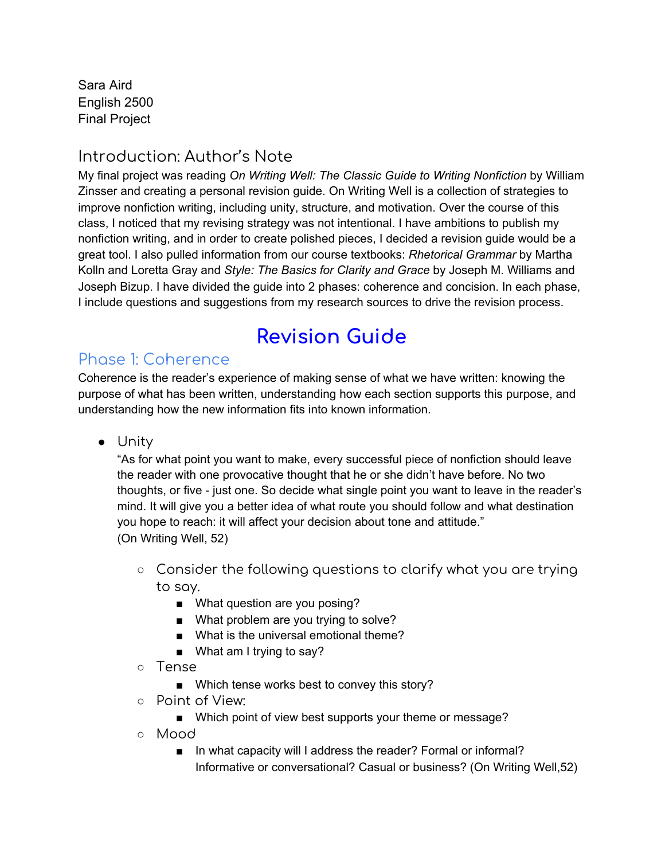Sara Aird English 2500 Final Project

## Introduction: Author's Note

My final project was reading *On Writing Well: The Classic Guide to Writing Nonfiction* by William Zinsser and creating a personal revision guide. On Writing Well is a collection of strategies to improve nonfiction writing, including unity, structure, and motivation. Over the course of this class, I noticed that my revising strategy was not intentional. I have ambitions to publish my nonfiction writing, and in order to create polished pieces, I decided a revision guide would be a great tool. I also pulled information from our course textbooks: *Rhetorical Grammar* by Martha Kolln and Loretta Gray and *Style: The Basics for Clarity and Grace* by Joseph M. Williams and Joseph Bizup. I have divided the guide into 2 phases: coherence and concision. In each phase, I include questions and suggestions from my research sources to drive the revision process.

## **Revision Guide**

## Phase 1: Coherence

Coherence is the reader's experience of making sense of what we have written: knowing the purpose of what has been written, understanding how each section supports this purpose, and understanding how the new information fits into known information.

● Unity

"As for what point you want to make, every successful piece of nonfiction should leave the reader with one provocative thought that he or she didn't have before. No two thoughts, or five - just one. So decide what single point you want to leave in the reader's mind. It will give you a better idea of what route you should follow and what destination you hope to reach: it will affect your decision about tone and attitude." (On Writing Well, 52)

- Consider the following questions to clarify what you are trying to say.
	- What question are you posing?
	- What problem are you trying to solve?
	- What is the universal emotional theme?
	- What am I trying to say?
- Tense
	- Which tense works best to convey this story?
- Point of View:
	- Which point of view best supports your theme or message?
- Mood
	- In what capacity will I address the reader? Formal or informal? Informative or conversational? Casual or business? (On Writing Well,52)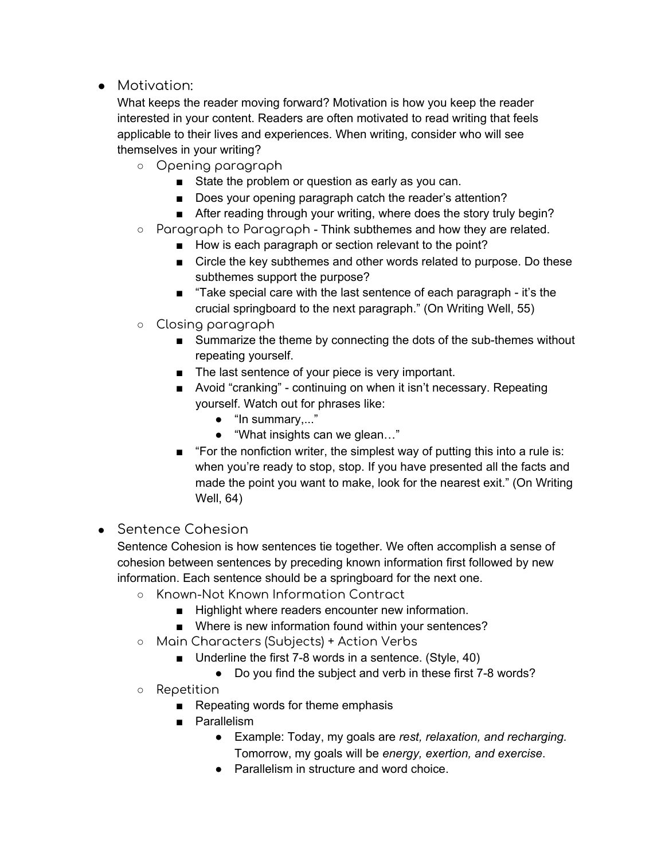● Motivation:

What keeps the reader moving forward? Motivation is how you keep the reader interested in your content. Readers are often motivated to read writing that feels applicable to their lives and experiences. When writing, consider who will see themselves in your writing?

- Opening paragraph
	- State the problem or question as early as you can.
	- Does your opening paragraph catch the reader's attention?
	- After reading through your writing, where does the story truly begin?
- $\circ$  Paragraph to Paragraph Think subthemes and how they are related.
	- How is each paragraph or section relevant to the point?
	- Circle the key subthemes and other words related to purpose. Do these subthemes support the purpose?
	- "Take special care with the last sentence of each paragraph it's the crucial springboard to the next paragraph." (On Writing Well, 55)
- Closing paragraph
	- Summarize the theme by connecting the dots of the sub-themes without repeating yourself.
	- The last sentence of your piece is very important.
	- Avoid "cranking" continuing on when it isn't necessary. Repeating yourself. Watch out for phrases like:
		- "In summary,..."
		- "What insights can we glean…"
	- "For the nonfiction writer, the simplest way of putting this into a rule is: when you're ready to stop, stop. If you have presented all the facts and made the point you want to make, look for the nearest exit." (On Writing Well, 64)
- Sentence Cohesion

Sentence Cohesion is how sentences tie together. We often accomplish a sense of cohesion between sentences by preceding known information first followed by new information. Each sentence should be a springboard for the next one.

- Known-Not Known Information Contract
	- Highlight where readers encounter new information.
	- Where is new information found within your sentences?
- Main Characters (Subjects) + Action Verbs
	- Underline the first 7-8 words in a sentence. (Style, 40)
		- Do you find the subject and verb in these first 7-8 words?
- Repetition
	- Repeating words for theme emphasis
	- Parallelism
		- Example: Today, my goals are *rest, relaxation, and recharging.* Tomorrow, my goals will be *energy, exertion, and exercise*.
		- Parallelism in structure and word choice.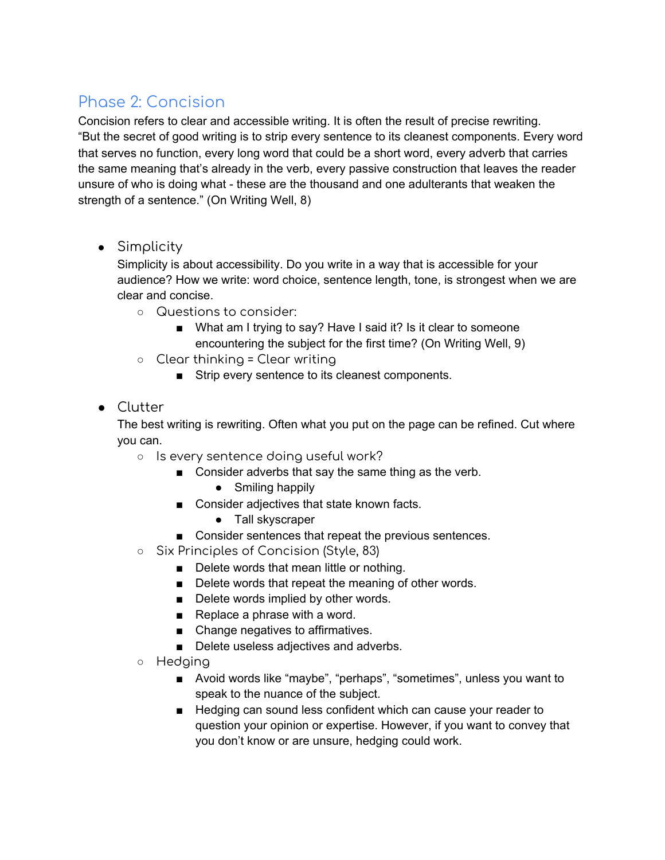## Phase 2: Concision

Concision refers to clear and accessible writing. It is often the result of precise rewriting. "But the secret of good writing is to strip every sentence to its cleanest components. Every word that serves no function, every long word that could be a short word, every adverb that carries the same meaning that's already in the verb, every passive construction that leaves the reader unsure of who is doing what - these are the thousand and one adulterants that weaken the strength of a sentence." (On Writing Well, 8)

• Simplicity

Simplicity is about accessibility. Do you write in a way that is accessible for your audience? How we write: word choice, sentence length, tone, is strongest when we are clear and concise.

- Questions to consider:
	- What am I trying to say? Have I said it? Is it clear to someone encountering the subject for the first time? (On Writing Well, 9)
- $\circ$  Clear thinking = Clear writing
	- Strip every sentence to its cleanest components.
- Clutter

The best writing is rewriting. Often what you put on the page can be refined. Cut where you can.

- Is every sentence doing useful work?
	- Consider adverbs that say the same thing as the verb.
		- Smiling happily
	- Consider adjectives that state known facts.
		- Tall skyscraper
	- Consider sentences that repeat the previous sentences.
- Six Principles of Concision (Style, 83)
	- Delete words that mean little or nothing.
	- Delete words that repeat the meaning of other words.
	- Delete words implied by other words.
	- Replace a phrase with a word.
	- Change negatives to affirmatives.
	- Delete useless adjectives and adverbs.
- Hedging
	- Avoid words like "maybe", "perhaps", "sometimes", unless you want to speak to the nuance of the subject.
	- Hedging can sound less confident which can cause your reader to question your opinion or expertise. However, if you want to convey that you don't know or are unsure, hedging could work.